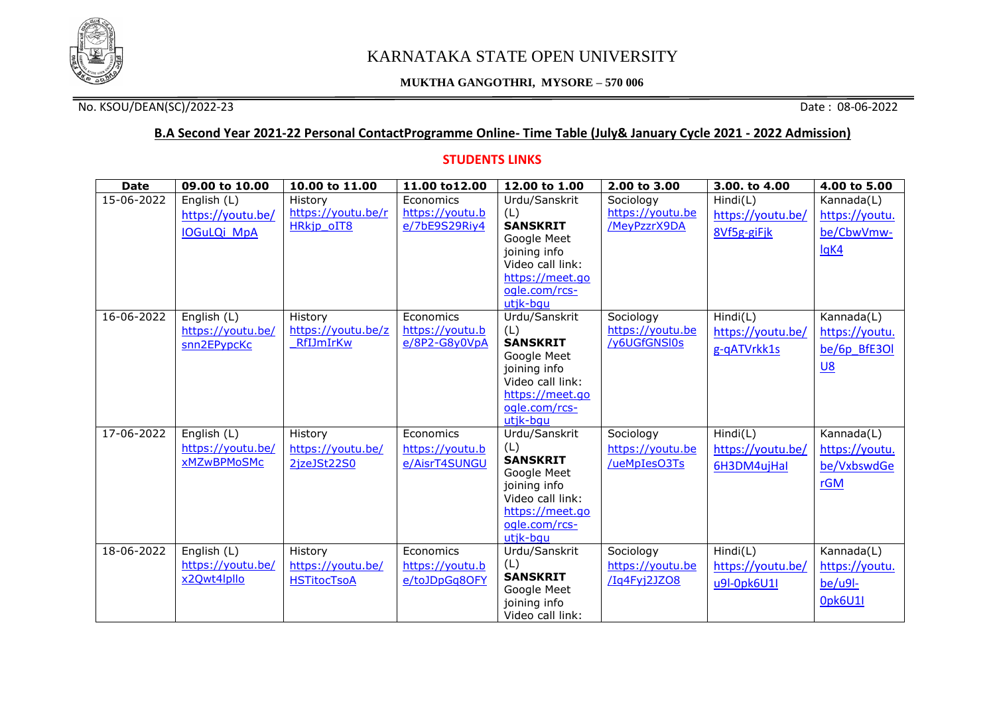

# KARNATAKA STATE OPEN UNIVERSITY

#### **MUKTHA GANGOTHRI, MYSORE – 570 006**

### No. KSOU/DEAN(SC)/2022-23 Date : 08-06-2022

## **B.A Second Year 2021-22 Personal ContactProgramme Online- Time Table (July& January Cycle 2021 - 2022 Admission)**

#### **STUDENTS LINKS**

| <b>Date</b> | 09.00 to 10.00     | 10.00 to 11.00     | 11.00 to 12.00  | 12.00 to 1.00                       | 2.00 to 3.00     | 3.00. to 4.00     | 4.00 to 5.00   |
|-------------|--------------------|--------------------|-----------------|-------------------------------------|------------------|-------------------|----------------|
| 15-06-2022  | English (L)        | History            | Economics       | Urdu/Sanskrit                       | Sociology        | Hind(C)           | Kannada(L)     |
|             | https://youtu.be/  | https://youtu.be/r | https://youtu.b | (L)                                 | https://youtu.be | https://youtu.be/ | https://youtu. |
|             | <b>IOGuLQi MpA</b> | <b>HRkjp oIT8</b>  | e/7bE9S29Riy4   | <b>SANSKRIT</b>                     | /MeyPzzrX9DA     | 8Vf5g-giFjk       | be/CbwVmw-     |
|             |                    |                    |                 | Google Meet                         |                  |                   | lqK4           |
|             |                    |                    |                 | joining info                        |                  |                   |                |
|             |                    |                    |                 | Video call link:<br>https://meet.go |                  |                   |                |
|             |                    |                    |                 | ogle.com/rcs-                       |                  |                   |                |
|             |                    |                    |                 | utik-bau                            |                  |                   |                |
| 16-06-2022  | English (L)        | History            | Economics       | Urdu/Sanskrit                       | Sociology        | Hind(C)           | Kannada(L)     |
|             | https://youtu.be/  | https://youtu.be/z | https://youtu.b | (L)                                 | https://youtu.be | https://youtu.be/ | https://youtu. |
|             | snn2EPypcKc        | RfIJmIrKw          | $e/8P2-G8y0VpA$ | <b>SANSKRIT</b>                     | /y6UGfGNSI0s     |                   |                |
|             |                    |                    |                 | Google Meet                         |                  | g-qATVrkk1s       | be/6p BfE3Ol   |
|             |                    |                    |                 | joining info                        |                  |                   | $U8$           |
|             |                    |                    |                 | Video call link:                    |                  |                   |                |
|             |                    |                    |                 | https://meet.go                     |                  |                   |                |
|             |                    |                    |                 | ogle.com/rcs-                       |                  |                   |                |
|             |                    |                    |                 | utik-bau                            |                  |                   |                |
| 17-06-2022  | English (L)        | History            | Economics       | Urdu/Sanskrit                       | Sociology        | Hind(C)           | Kannada(L)     |
|             | https://youtu.be/  | https://youtu.be/  | https://youtu.b | (L)<br><b>SANSKRIT</b>              | https://youtu.be | https://youtu.be/ | https://youtu. |
|             | xMZwBPMoSMc        | 2jzeJSt22S0        | e/AisrT4SUNGU   | Google Meet                         | /ueMpIesO3Ts     | 6H3DM4ujHal       | be/VxbswdGe    |
|             |                    |                    |                 | joining info                        |                  |                   | rGM            |
|             |                    |                    |                 | Video call link:                    |                  |                   |                |
|             |                    |                    |                 | https://meet.go                     |                  |                   |                |
|             |                    |                    |                 | ogle.com/rcs-                       |                  |                   |                |
|             |                    |                    |                 | utik-bau                            |                  |                   |                |
| 18-06-2022  | English (L)        | History            | Economics       | Urdu/Sanskrit                       | Sociology        | Hind(C)           | Kannada(L)     |
|             | https://youtu.be/  | https://youtu.be/  | https://youtu.b | (L)                                 | https://youtu.be | https://youtu.be/ | https://youtu. |
|             | x2Qwt4lpllo        | <b>HSTitocTsoA</b> | e/toJDpGq8OFY   | <b>SANSKRIT</b>                     | /Iq4Fyj2JZO8     | u9l-0pk6U1l       | $be/u9l$ -     |
|             |                    |                    |                 | Google Meet                         |                  |                   |                |
|             |                    |                    |                 | joining info                        |                  |                   | <b>Opk6U1I</b> |
|             |                    |                    |                 | Video call link:                    |                  |                   |                |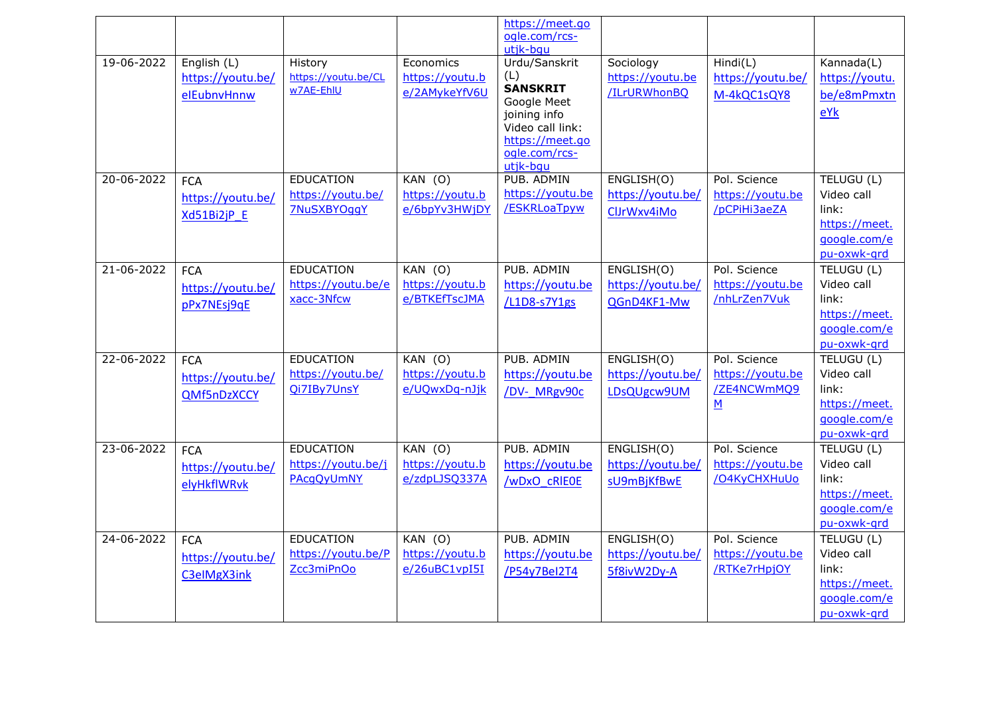|                  |                   |                     |                 | https://meet.go<br>ogle.com/rcs- |                   |                   |                           |
|------------------|-------------------|---------------------|-----------------|----------------------------------|-------------------|-------------------|---------------------------|
| 19-06-2022       | English (L)       | History             | Economics       | utik-bau<br>Urdu/Sanskrit        | Sociology         | Hind(L)           | Kannada(L)                |
|                  | https://youtu.be/ | https://youtu.be/CL | https://youtu.b | (L)                              | https://youtu.be  | https://youtu.be/ | https://youtu.            |
|                  | elEubnvHnnw       | w7AE-EhlU           | e/2AMykeYfV6U   | <b>SANSKRIT</b><br>Google Meet   | /ILrURWhonBQ      | M-4kQC1sQY8       | be/e8mPmxtn               |
|                  |                   |                     |                 | joining info                     |                   |                   | eYk                       |
|                  |                   |                     |                 | Video call link:                 |                   |                   |                           |
|                  |                   |                     |                 | https://meet.go                  |                   |                   |                           |
|                  |                   |                     |                 | ogle.com/rcs-                    |                   |                   |                           |
| $20 - 06 - 2022$ | <b>FCA</b>        | <b>EDUCATION</b>    | $KAN$ (O)       | utjk-bqu<br>PUB. ADMIN           | ENGLISH(O)        | Pol. Science      | TELUGU (L)                |
|                  |                   | https://youtu.be/   | https://youtu.b | https://youtu.be                 | https://youtu.be/ | https://youtu.be  | Video call                |
|                  | https://youtu.be/ | <b>7NuSXBYOggY</b>  | e/6bpYv3HWjDY   | /ESKRLoaTpyw                     | ClJrWxv4iMo       | /pCPiHi3aeZA      | link:                     |
|                  | Xd51Bi2jP E       |                     |                 |                                  |                   |                   | https://meet.             |
|                  |                   |                     |                 |                                  |                   |                   | google.com/e              |
|                  |                   |                     |                 |                                  |                   |                   | pu-oxwk-grd               |
| 21-06-2022       | <b>FCA</b>        | <b>EDUCATION</b>    | $KAN$ (O)       | PUB. ADMIN                       | ENGLISH(O)        | Pol. Science      | TELUGU (L)                |
|                  | https://youtu.be/ | https://youtu.be/e  | https://youtu.b | https://youtu.be                 | https://youtu.be/ | https://youtu.be  | Video call                |
|                  | pPx7NEsj9qE       | xacc-3Nfcw          | e/BTKEfTscJMA   | /L1D8-s7Y1gs                     | QGnD4KF1-Mw       | /nhLrZen7Vuk      | link:                     |
|                  |                   |                     |                 |                                  |                   |                   | https://meet.             |
|                  |                   |                     |                 |                                  |                   |                   | google.com/e              |
|                  |                   |                     |                 |                                  |                   |                   | pu-oxwk-grd               |
| 22-06-2022       | <b>FCA</b>        | <b>EDUCATION</b>    | $KAN$ (O)       | PUB, ADMIN                       | ENGLISH(O)        | Pol. Science      | TELUGU (L)                |
|                  | https://youtu.be/ | https://youtu.be/   | https://youtu.b | https://youtu.be                 | https://youtu.be/ | https://youtu.be  | Video call                |
|                  | QMf5nDzXCCY       | Qi7IBy7UnsY         | e/UQwxDq-nJjk   | /DV- MRgv90c                     | LDsQUgcw9UM       | /ZE4NCWmMQ9       | link:                     |
|                  |                   |                     |                 |                                  |                   | $\underline{M}$   | https://meet.             |
|                  |                   |                     |                 |                                  |                   |                   | google.com/e              |
| 23-06-2022       |                   | <b>EDUCATION</b>    | $KAN$ (O)       | PUB, ADMIN                       | ENGLISH(O)        | Pol. Science      | pu-oxwk-grd<br>TELUGU (L) |
|                  | <b>FCA</b>        | https://youtu.be/j  | https://youtu.b | https://youtu.be                 | https://youtu.be/ | https://youtu.be  | Video call                |
|                  | https://youtu.be/ | PAcqQyUmNY          | e/zdpLJSQ337A   | /wDxO cRIEOE                     |                   | /O4KyCHXHuUo      | link:                     |
|                  | elyHkflWRvk       |                     |                 |                                  | sU9mBjKfBwE       |                   | https://meet.             |
|                  |                   |                     |                 |                                  |                   |                   | google.com/e              |
|                  |                   |                     |                 |                                  |                   |                   | pu-oxwk-grd               |
| 24-06-2022       | <b>FCA</b>        | <b>EDUCATION</b>    | $KAN$ (O)       | PUB, ADMIN                       | ENGLISH(O)        | Pol. Science      | TELUGU (L)                |
|                  | https://youtu.be/ | https://youtu.be/P  | https://youtu.b | https://youtu.be                 | https://youtu.be/ | https://youtu.be  | Video call                |
|                  | C3eIMgX3ink       | Zcc3miPnOo          | e/26uBC1vpI5I   | /P54y7Bel2T4                     | 5f8ivW2Dy-A       | /RTKe7rHpjOY      | link:                     |
|                  |                   |                     |                 |                                  |                   |                   | https://meet.             |
|                  |                   |                     |                 |                                  |                   |                   | google.com/e              |
|                  |                   |                     |                 |                                  |                   |                   | pu-oxwk-grd               |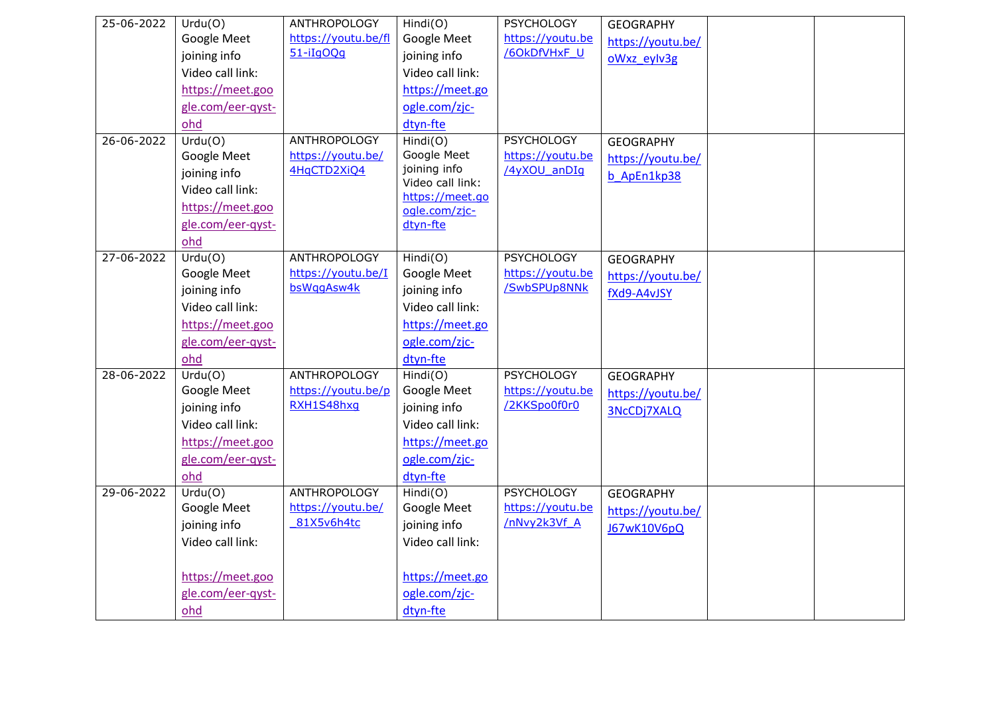| 25-06-2022       | Urdu(O)           | <b>ANTHROPOLOGY</b> | Hindi(O)                            | <b>PSYCHOLOGY</b> | <b>GEOGRAPHY</b>  |  |
|------------------|-------------------|---------------------|-------------------------------------|-------------------|-------------------|--|
|                  | Google Meet       | https://youtu.be/fl | Google Meet                         | https://youtu.be  | https://youtu.be/ |  |
|                  | joining info      | $51 - iIqOQq$       | joining info                        | /60kDfVHxF U      | oWxz eylv3g       |  |
|                  | Video call link:  |                     | Video call link:                    |                   |                   |  |
|                  | https://meet.goo  |                     | https://meet.go                     |                   |                   |  |
|                  | gle.com/eer-qyst- |                     | ogle.com/zjc-                       |                   |                   |  |
|                  | ohd               |                     | dtyn-fte                            |                   |                   |  |
| $26 - 06 - 2022$ | Urdu(0)           | <b>ANTHROPOLOGY</b> | Hindi(O)                            | <b>PSYCHOLOGY</b> | <b>GEOGRAPHY</b>  |  |
|                  | Google Meet       | https://youtu.be/   | Google Meet                         | https://youtu.be  | https://youtu.be/ |  |
|                  | joining info      | 4HqCTD2XiQ4         | joining info                        | /4yXOU anDIq      | b ApEn1kp38       |  |
|                  | Video call link:  |                     | Video call link:<br>https://meet.go |                   |                   |  |
|                  | https://meet.goo  |                     | ogle.com/zjc-                       |                   |                   |  |
|                  | gle.com/eer-qyst- |                     | dtyn-fte                            |                   |                   |  |
|                  | ohd               |                     |                                     |                   |                   |  |
| 27-06-2022       | Urdu(0)           | <b>ANTHROPOLOGY</b> | Hindi(O)                            | <b>PSYCHOLOGY</b> | <b>GEOGRAPHY</b>  |  |
|                  | Google Meet       | https://youtu.be/I  | Google Meet                         | https://youtu.be  | https://youtu.be/ |  |
|                  | joining info      | bsWggAsw4k          | joining info                        | /SwbSPUp8NNk      | fXd9-A4vJSY       |  |
|                  | Video call link:  |                     | Video call link:                    |                   |                   |  |
|                  | https://meet.goo  |                     | https://meet.go                     |                   |                   |  |
|                  | gle.com/eer-qyst- |                     | ogle.com/zjc-                       |                   |                   |  |
|                  | ohd               |                     | dtyn-fte                            |                   |                   |  |
| 28-06-2022       | Urdu(0)           | <b>ANTHROPOLOGY</b> | Hindi(O)                            | <b>PSYCHOLOGY</b> | <b>GEOGRAPHY</b>  |  |
|                  | Google Meet       | https://youtu.be/p  | Google Meet                         | https://youtu.be  | https://youtu.be/ |  |
|                  | joining info      | RXH1S48hxq          | joining info                        | /2KKSpo0f0r0      | 3NcCDj7XALQ       |  |
|                  | Video call link:  |                     | Video call link:                    |                   |                   |  |
|                  | https://meet.goo  |                     | https://meet.go                     |                   |                   |  |
|                  | gle.com/eer-qyst- |                     | ogle.com/zjc-                       |                   |                   |  |
|                  | ohd               |                     | dtyn-fte                            |                   |                   |  |
| 29-06-2022       | Urdu(O)           | <b>ANTHROPOLOGY</b> | Hindi(O)                            | <b>PSYCHOLOGY</b> | <b>GEOGRAPHY</b>  |  |
|                  | Google Meet       | https://youtu.be/   | Google Meet                         | https://youtu.be  | https://youtu.be/ |  |
|                  | joining info      | 81X5v6h4tc          | joining info                        | /nNvy2k3Vf A      | J67wK10V6pQ       |  |
|                  | Video call link:  |                     | Video call link:                    |                   |                   |  |
|                  |                   |                     |                                     |                   |                   |  |
|                  | https://meet.goo  |                     | https://meet.go                     |                   |                   |  |
|                  | gle.com/eer-qyst- |                     | ogle.com/zjc-                       |                   |                   |  |
|                  | ohd               |                     | dtyn-fte                            |                   |                   |  |